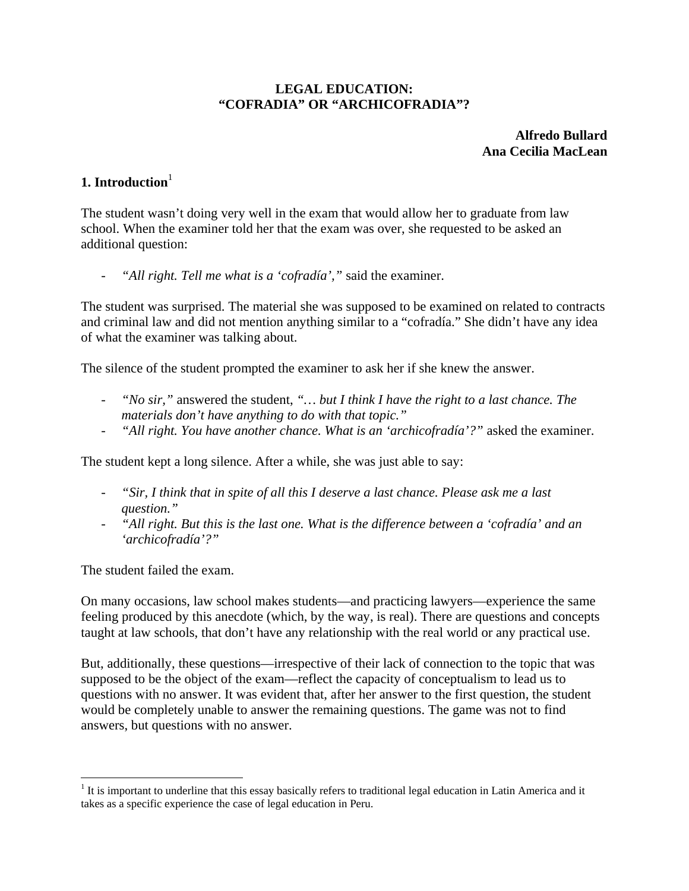#### **LEGAL EDUCATION: "COFRADIA" OR "ARCHICOFRADIA"?**

**Alfredo Bullard Ana Cecilia MacLean**

## **1. Introduction**<sup>1</sup>

The student wasn't doing very well in the exam that would allow her to graduate from law school. When the examiner told her that the exam was over, she requested to be asked an additional question:

"All right. Tell me what is a 'cofradía'," said the examiner.

The student was surprised. The material she was supposed to be examined on related to contracts and criminal law and did not mention anything similar to a "cofradía." She didn't have any idea of what the examiner was talking about.

The silence of the student prompted the examiner to ask her if she knew the answer.

- *"No sir,"* answered the student, *"… but I think I have the right to a last chance. The materials don't have anything to do with that topic."*
- *"All right. You have another chance. What is an 'archicofradía'?"* asked the examiner.

The student kept a long silence. After a while, she was just able to say:

- *"Sir, I think that in spite of all this I deserve a last chance. Please ask me a last question."*
- *"All right. But this is the last one. What is the difference between a 'cofradía' and an 'archicofradía'?"*

The student failed the exam.

 $\overline{a}$ 

On many occasions, law school makes students—and practicing lawyers—experience the same feeling produced by this anecdote (which, by the way, is real). There are questions and concepts taught at law schools, that don't have any relationship with the real world or any practical use.

But, additionally, these questions—irrespective of their lack of connection to the topic that was supposed to be the object of the exam—reflect the capacity of conceptualism to lead us to questions with no answer. It was evident that, after her answer to the first question, the student would be completely unable to answer the remaining questions. The game was not to find answers, but questions with no answer.

 $1$  It is important to underline that this essay basically refers to traditional legal education in Latin America and it takes as a specific experience the case of legal education in Peru.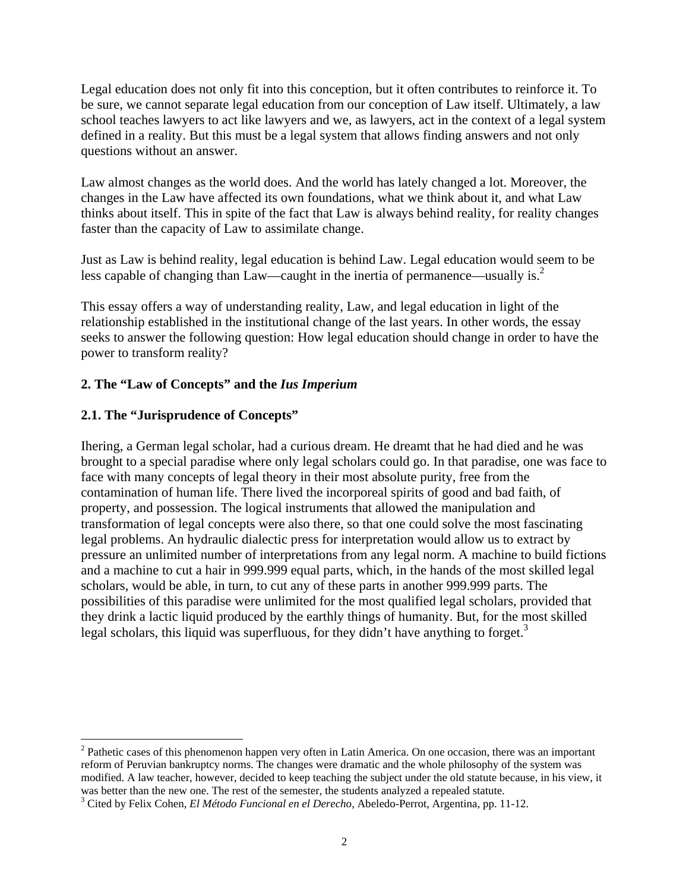Legal education does not only fit into this conception, but it often contributes to reinforce it. To be sure, we cannot separate legal education from our conception of Law itself. Ultimately, a law school teaches lawyers to act like lawyers and we, as lawyers, act in the context of a legal system defined in a reality. But this must be a legal system that allows finding answers and not only questions without an answer.

Law almost changes as the world does. And the world has lately changed a lot. Moreover, the changes in the Law have affected its own foundations, what we think about it, and what Law thinks about itself. This in spite of the fact that Law is always behind reality, for reality changes faster than the capacity of Law to assimilate change.

Just as Law is behind reality, legal education is behind Law. Legal education would seem to be less capable of changing than Law—caught in the inertia of permanence—usually is. $<sup>2</sup>$ </sup>

This essay offers a way of understanding reality, Law, and legal education in light of the relationship established in the institutional change of the last years. In other words, the essay seeks to answer the following question: How legal education should change in order to have the power to transform reality?

#### **2. The "Law of Concepts" and the** *Ius Imperium*

## **2.1. The "Jurisprudence of Concepts"**

 $\overline{a}$ 

Ihering, a German legal scholar, had a curious dream. He dreamt that he had died and he was brought to a special paradise where only legal scholars could go. In that paradise, one was face to face with many concepts of legal theory in their most absolute purity, free from the contamination of human life. There lived the incorporeal spirits of good and bad faith, of property, and possession. The logical instruments that allowed the manipulation and transformation of legal concepts were also there, so that one could solve the most fascinating legal problems. An hydraulic dialectic press for interpretation would allow us to extract by pressure an unlimited number of interpretations from any legal norm. A machine to build fictions and a machine to cut a hair in 999.999 equal parts, which, in the hands of the most skilled legal scholars, would be able, in turn, to cut any of these parts in another 999.999 parts. The possibilities of this paradise were unlimited for the most qualified legal scholars, provided that they drink a lactic liquid produced by the earthly things of humanity. But, for the most skilled legal scholars, this liquid was superfluous, for they didn't have anything to forget.<sup>3</sup>

<sup>&</sup>lt;sup>2</sup> Pathetic cases of this phenomenon happen very often in Latin America. On one occasion, there was an important reform of Peruvian bankruptcy norms. The changes were dramatic and the whole philosophy of the system was modified. A law teacher, however, decided to keep teaching the subject under the old statute because, in his view, it was better than the new one. The rest of the semester, the students analyzed a repealed statute.

Cited by Felix Cohen, *El Método Funcional en el Derecho*, Abeledo-Perrot, Argentina, pp. 11-12.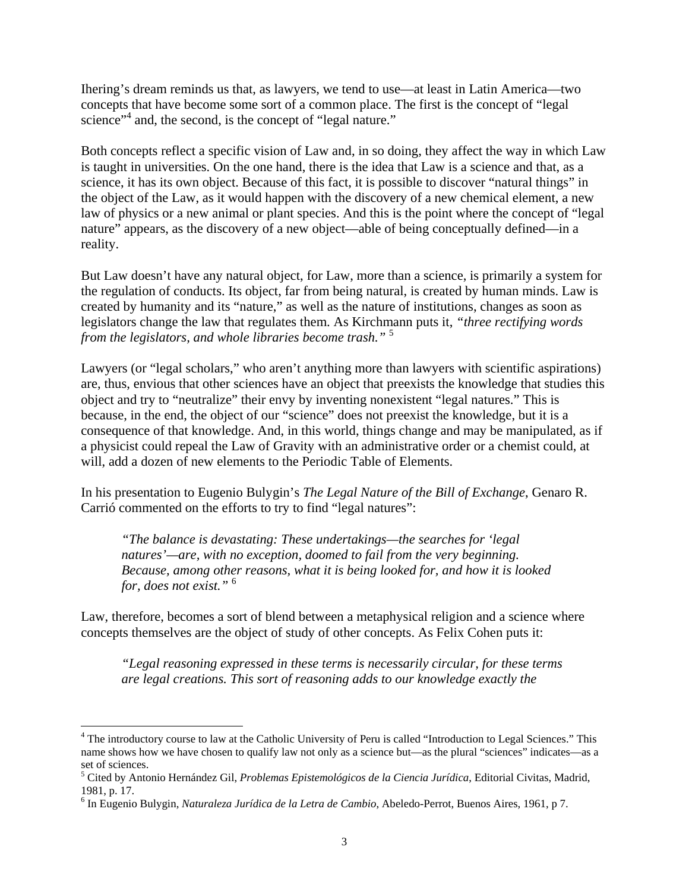Ihering's dream reminds us that, as lawyers, we tend to use—at least in Latin America—two concepts that have become some sort of a common place. The first is the concept of "legal science"<sup>4</sup> and, the second, is the concept of "legal nature."

Both concepts reflect a specific vision of Law and, in so doing, they affect the way in which Law is taught in universities. On the one hand, there is the idea that Law is a science and that, as a science, it has its own object. Because of this fact, it is possible to discover "natural things" in the object of the Law, as it would happen with the discovery of a new chemical element, a new law of physics or a new animal or plant species. And this is the point where the concept of "legal nature" appears, as the discovery of a new object—able of being conceptually defined—in a reality.

But Law doesn't have any natural object, for Law, more than a science, is primarily a system for the regulation of conducts. Its object, far from being natural, is created by human minds. Law is created by humanity and its "nature," as well as the nature of institutions, changes as soon as legislators change the law that regulates them. As Kirchmann puts it, *"three rectifying words from the legislators, and whole libraries become trash."* <sup>5</sup>

Lawyers (or "legal scholars," who aren't anything more than lawyers with scientific aspirations) are, thus, envious that other sciences have an object that preexists the knowledge that studies this object and try to "neutralize" their envy by inventing nonexistent "legal natures." This is because, in the end, the object of our "science" does not preexist the knowledge, but it is a consequence of that knowledge. And, in this world, things change and may be manipulated, as if a physicist could repeal the Law of Gravity with an administrative order or a chemist could, at will, add a dozen of new elements to the Periodic Table of Elements.

In his presentation to Eugenio Bulygin's *The Legal Nature of the Bill of Exchange*, Genaro R. Carrió commented on the efforts to try to find "legal natures":

*"The balance is devastating: These undertakings—the searches for 'legal natures'—are, with no exception, doomed to fail from the very beginning. Because, among other reasons, what it is being looked for, and how it is looked for, does not exist."* <sup>6</sup>

Law, therefore, becomes a sort of blend between a metaphysical religion and a science where concepts themselves are the object of study of other concepts. As Felix Cohen puts it:

*"Legal reasoning expressed in these terms is necessarily circular, for these terms are legal creations. This sort of reasoning adds to our knowledge exactly the* 

 $\overline{a}$ 

<sup>&</sup>lt;sup>4</sup> The introductory course to law at the Catholic University of Peru is called "Introduction to Legal Sciences." This name shows how we have chosen to qualify law not only as a science but—as the plural "sciences" indicates—as a set of sciences.

<sup>5</sup> Cited by Antonio Hernández Gil, *Problemas Epistemológicos de la Ciencia Jurídica*, Editorial Civitas, Madrid, 1981, p. 17.

<sup>6</sup> In Eugenio Bulygin, *Naturaleza Jurídica de la Letra de Cambio*, Abeledo-Perrot, Buenos Aires, 1961, p 7.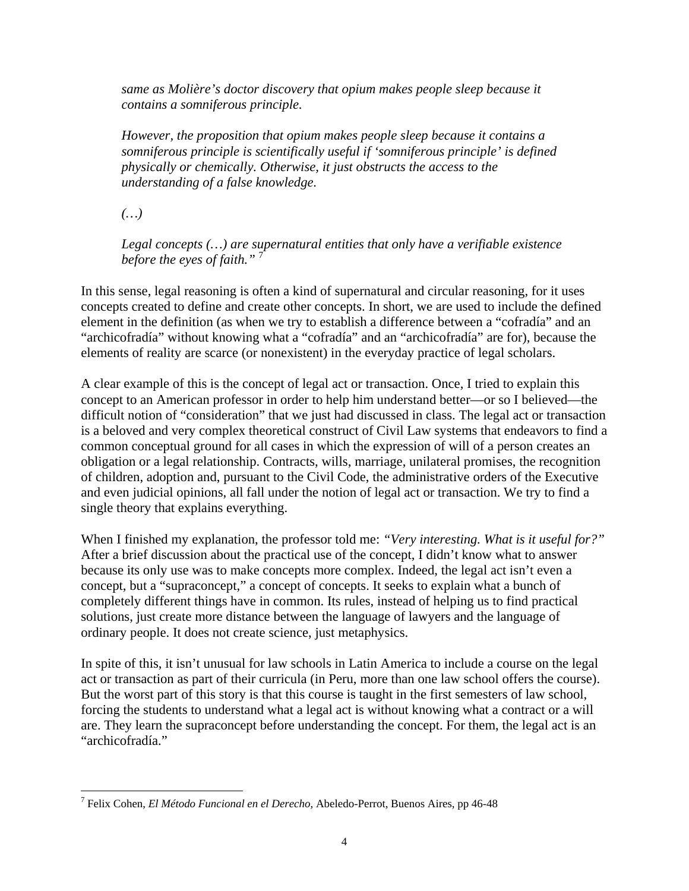*same as Molière's doctor discovery that opium makes people sleep because it contains a somniferous principle.* 

*However, the proposition that opium makes people sleep because it contains a somniferous principle is scientifically useful if 'somniferous principle' is defined physically or chemically. Otherwise, it just obstructs the access to the understanding of a false knowledge.* 

*(…)* 

*Legal concepts (…) are supernatural entities that only have a verifiable existence before the eyes of faith."* <sup>7</sup>

In this sense, legal reasoning is often a kind of supernatural and circular reasoning, for it uses concepts created to define and create other concepts. In short, we are used to include the defined element in the definition (as when we try to establish a difference between a "cofradía" and an "archicofradía" without knowing what a "cofradía" and an "archicofradía" are for), because the elements of reality are scarce (or nonexistent) in the everyday practice of legal scholars.

A clear example of this is the concept of legal act or transaction. Once, I tried to explain this concept to an American professor in order to help him understand better—or so I believed—the difficult notion of "consideration" that we just had discussed in class. The legal act or transaction is a beloved and very complex theoretical construct of Civil Law systems that endeavors to find a common conceptual ground for all cases in which the expression of will of a person creates an obligation or a legal relationship. Contracts, wills, marriage, unilateral promises, the recognition of children, adoption and, pursuant to the Civil Code, the administrative orders of the Executive and even judicial opinions, all fall under the notion of legal act or transaction. We try to find a single theory that explains everything.

When I finished my explanation, the professor told me: *"Very interesting. What is it useful for?"* After a brief discussion about the practical use of the concept, I didn't know what to answer because its only use was to make concepts more complex. Indeed, the legal act isn't even a concept, but a "supraconcept," a concept of concepts. It seeks to explain what a bunch of completely different things have in common. Its rules, instead of helping us to find practical solutions, just create more distance between the language of lawyers and the language of ordinary people. It does not create science, just metaphysics.

In spite of this, it isn't unusual for law schools in Latin America to include a course on the legal act or transaction as part of their curricula (in Peru, more than one law school offers the course). But the worst part of this story is that this course is taught in the first semesters of law school, forcing the students to understand what a legal act is without knowing what a contract or a will are. They learn the supraconcept before understanding the concept. For them, the legal act is an "archicofradía."

 $\overline{a}$ 7 Felix Cohen, *El Método Funcional en el Derecho*, Abeledo-Perrot, Buenos Aires, pp 46-48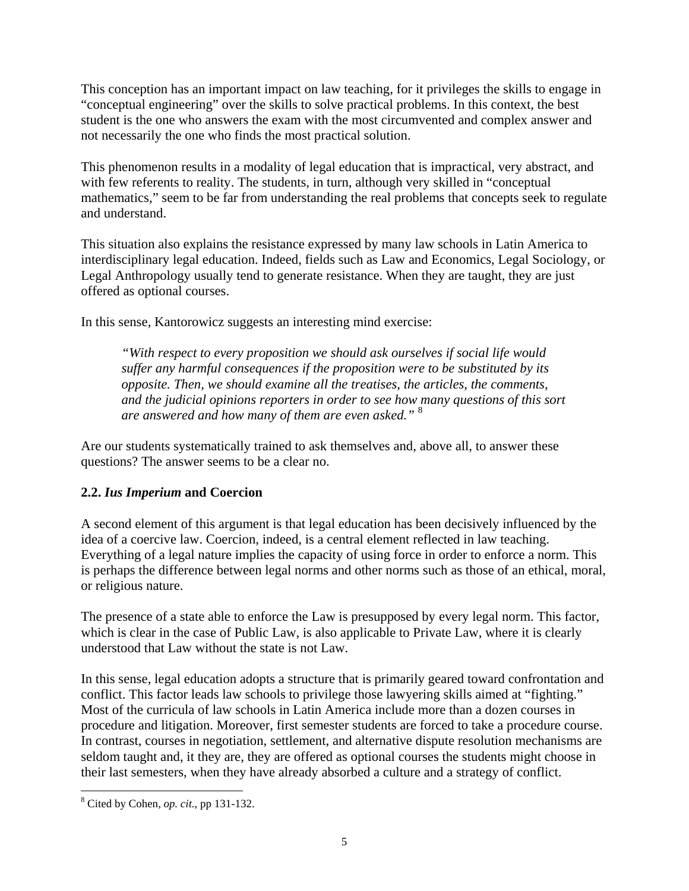This conception has an important impact on law teaching, for it privileges the skills to engage in "conceptual engineering" over the skills to solve practical problems. In this context, the best student is the one who answers the exam with the most circumvented and complex answer and not necessarily the one who finds the most practical solution.

This phenomenon results in a modality of legal education that is impractical, very abstract, and with few referents to reality. The students, in turn, although very skilled in "conceptual mathematics," seem to be far from understanding the real problems that concepts seek to regulate and understand.

This situation also explains the resistance expressed by many law schools in Latin America to interdisciplinary legal education. Indeed, fields such as Law and Economics, Legal Sociology, or Legal Anthropology usually tend to generate resistance. When they are taught, they are just offered as optional courses.

In this sense, Kantorowicz suggests an interesting mind exercise:

*"With respect to every proposition we should ask ourselves if social life would suffer any harmful consequences if the proposition were to be substituted by its opposite. Then, we should examine all the treatises, the articles, the comments, and the judicial opinions reporters in order to see how many questions of this sort are answered and how many of them are even asked."* <sup>8</sup>

Are our students systematically trained to ask themselves and, above all, to answer these questions? The answer seems to be a clear no.

#### **2.2.** *Ius Imperium* **and Coercion**

A second element of this argument is that legal education has been decisively influenced by the idea of a coercive law. Coercion, indeed, is a central element reflected in law teaching. Everything of a legal nature implies the capacity of using force in order to enforce a norm. This is perhaps the difference between legal norms and other norms such as those of an ethical, moral, or religious nature.

The presence of a state able to enforce the Law is presupposed by every legal norm. This factor, which is clear in the case of Public Law, is also applicable to Private Law, where it is clearly understood that Law without the state is not Law.

In this sense, legal education adopts a structure that is primarily geared toward confrontation and conflict. This factor leads law schools to privilege those lawyering skills aimed at "fighting." Most of the curricula of law schools in Latin America include more than a dozen courses in procedure and litigation. Moreover, first semester students are forced to take a procedure course. In contrast, courses in negotiation, settlement, and alternative dispute resolution mechanisms are seldom taught and, it they are, they are offered as optional courses the students might choose in their last semesters, when they have already absorbed a culture and a strategy of conflict.

 8 Cited by Cohen, *op. cit.*, pp 131-132.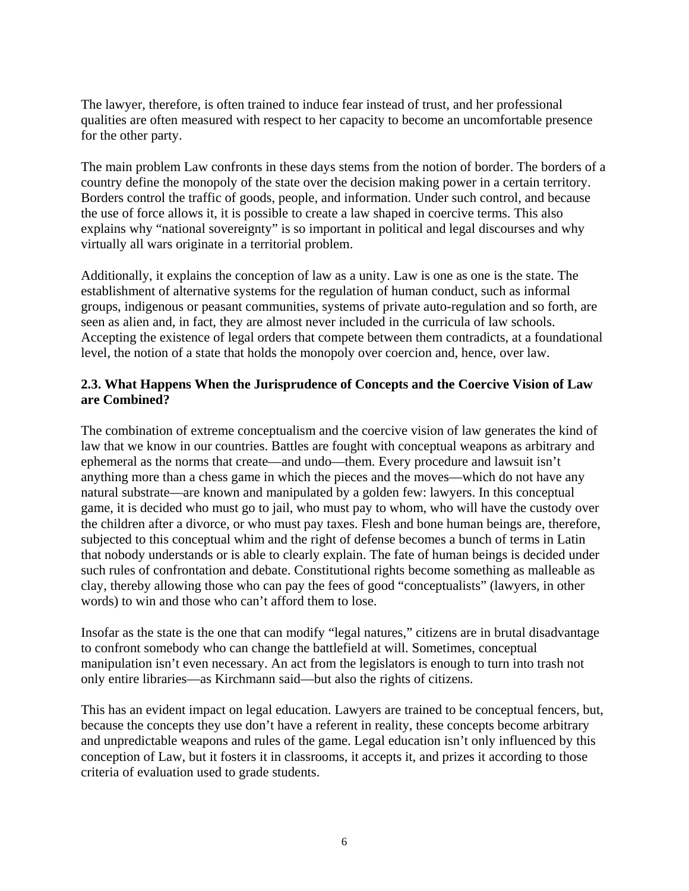The lawyer, therefore, is often trained to induce fear instead of trust, and her professional qualities are often measured with respect to her capacity to become an uncomfortable presence for the other party.

The main problem Law confronts in these days stems from the notion of border. The borders of a country define the monopoly of the state over the decision making power in a certain territory. Borders control the traffic of goods, people, and information. Under such control, and because the use of force allows it, it is possible to create a law shaped in coercive terms. This also explains why "national sovereignty" is so important in political and legal discourses and why virtually all wars originate in a territorial problem.

Additionally, it explains the conception of law as a unity. Law is one as one is the state. The establishment of alternative systems for the regulation of human conduct, such as informal groups, indigenous or peasant communities, systems of private auto-regulation and so forth, are seen as alien and, in fact, they are almost never included in the curricula of law schools. Accepting the existence of legal orders that compete between them contradicts, at a foundational level, the notion of a state that holds the monopoly over coercion and, hence, over law.

## **2.3. What Happens When the Jurisprudence of Concepts and the Coercive Vision of Law are Combined?**

The combination of extreme conceptualism and the coercive vision of law generates the kind of law that we know in our countries. Battles are fought with conceptual weapons as arbitrary and ephemeral as the norms that create—and undo—them. Every procedure and lawsuit isn't anything more than a chess game in which the pieces and the moves—which do not have any natural substrate—are known and manipulated by a golden few: lawyers. In this conceptual game, it is decided who must go to jail, who must pay to whom, who will have the custody over the children after a divorce, or who must pay taxes. Flesh and bone human beings are, therefore, subjected to this conceptual whim and the right of defense becomes a bunch of terms in Latin that nobody understands or is able to clearly explain. The fate of human beings is decided under such rules of confrontation and debate. Constitutional rights become something as malleable as clay, thereby allowing those who can pay the fees of good "conceptualists" (lawyers, in other words) to win and those who can't afford them to lose.

Insofar as the state is the one that can modify "legal natures," citizens are in brutal disadvantage to confront somebody who can change the battlefield at will. Sometimes, conceptual manipulation isn't even necessary. An act from the legislators is enough to turn into trash not only entire libraries—as Kirchmann said—but also the rights of citizens.

This has an evident impact on legal education. Lawyers are trained to be conceptual fencers, but, because the concepts they use don't have a referent in reality, these concepts become arbitrary and unpredictable weapons and rules of the game. Legal education isn't only influenced by this conception of Law, but it fosters it in classrooms, it accepts it, and prizes it according to those criteria of evaluation used to grade students.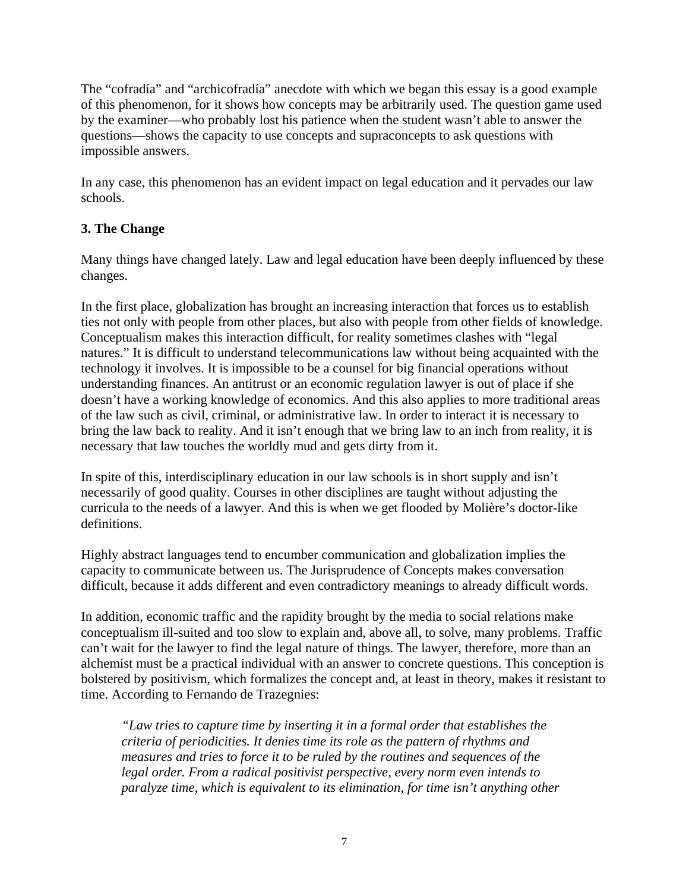The "cofradía" and "archicofradía" anecdote with which we began this essay is a good example of this phenomenon, for it shows how concepts may be arbitrarily used. The question game used by the examiner—who probably lost his patience when the student wasn't able to answer the questions—shows the capacity to use concepts and supraconcepts to ask questions with impossible answers.

In any case, this phenomenon has an evident impact on legal education and it pervades our law schools.

# **3. The Change**

Many things have changed lately. Law and legal education have been deeply influenced by these changes.

In the first place, globalization has brought an increasing interaction that forces us to establish ties not only with people from other places, but also with people from other fields of knowledge. Conceptualism makes this interaction difficult, for reality sometimes clashes with "legal natures." It is difficult to understand telecommunications law without being acquainted with the technology it involves. It is impossible to be a counsel for big financial operations without understanding finances. An antitrust or an economic regulation lawyer is out of place if she doesn't have a working knowledge of economics. And this also applies to more traditional areas of the law such as civil, criminal, or administrative law. In order to interact it is necessary to bring the law back to reality. And it isn't enough that we bring law to an inch from reality, it is necessary that law touches the worldly mud and gets dirty from it.

In spite of this, interdisciplinary education in our law schools is in short supply and isn't necessarily of good quality. Courses in other disciplines are taught without adjusting the curricula to the needs of a lawyer. And this is when we get flooded by Molière's doctor-like definitions.

Highly abstract languages tend to encumber communication and globalization implies the capacity to communicate between us. The Jurisprudence of Concepts makes conversation difficult, because it adds different and even contradictory meanings to already difficult words.

In addition, economic traffic and the rapidity brought by the media to social relations make conceptualism ill-suited and too slow to explain and, above all, to solve, many problems. Traffic can't wait for the lawyer to find the legal nature of things. The lawyer, therefore, more than an alchemist must be a practical individual with an answer to concrete questions. This conception is bolstered by positivism, which formalizes the concept and, at least in theory, makes it resistant to time. According to Fernando de Trazegnies:

*"Law tries to capture time by inserting it in a formal order that establishes the criteria of periodicities. It denies time its role as the pattern of rhythms and measures and tries to force it to be ruled by the routines and sequences of the legal order. From a radical positivist perspective, every norm even intends to paralyze time, which is equivalent to its elimination, for time isn't anything other*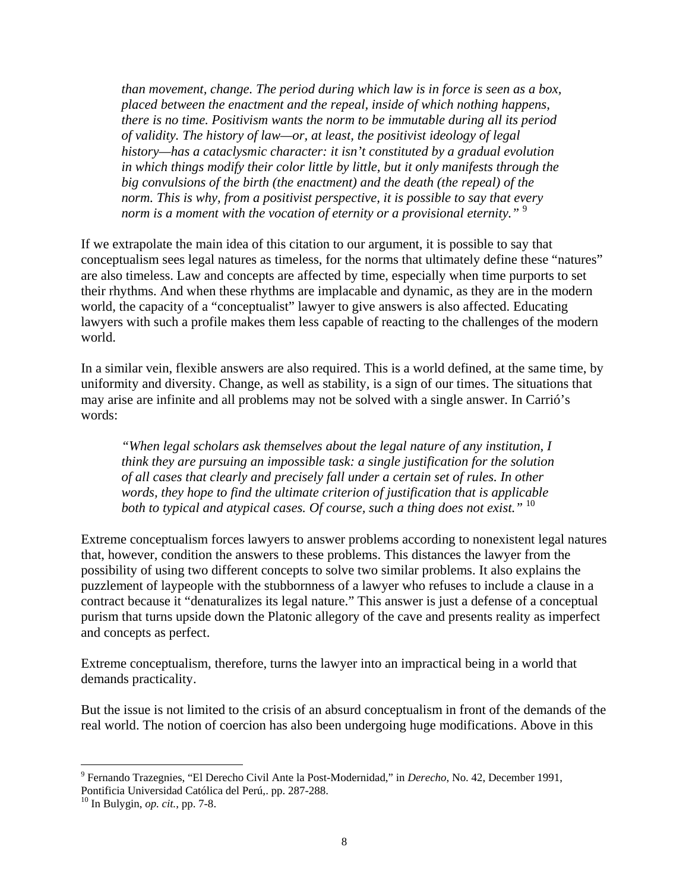*than movement, change. The period during which law is in force is seen as a box, placed between the enactment and the repeal, inside of which nothing happens, there is no time. Positivism wants the norm to be immutable during all its period of validity. The history of law—or, at least, the positivist ideology of legal history—has a cataclysmic character: it isn't constituted by a gradual evolution in which things modify their color little by little, but it only manifests through the big convulsions of the birth (the enactment) and the death (the repeal) of the norm. This is why, from a positivist perspective, it is possible to say that every norm is a moment with the vocation of eternity or a provisional eternity.*"<sup>9</sup>

If we extrapolate the main idea of this citation to our argument, it is possible to say that conceptualism sees legal natures as timeless, for the norms that ultimately define these "natures" are also timeless. Law and concepts are affected by time, especially when time purports to set their rhythms. And when these rhythms are implacable and dynamic, as they are in the modern world, the capacity of a "conceptualist" lawyer to give answers is also affected. Educating lawyers with such a profile makes them less capable of reacting to the challenges of the modern world.

In a similar vein, flexible answers are also required. This is a world defined, at the same time, by uniformity and diversity. Change, as well as stability, is a sign of our times. The situations that may arise are infinite and all problems may not be solved with a single answer. In Carrió's words:

*"When legal scholars ask themselves about the legal nature of any institution, I think they are pursuing an impossible task: a single justification for the solution of all cases that clearly and precisely fall under a certain set of rules. In other words, they hope to find the ultimate criterion of justification that is applicable both to typical and atypical cases. Of course, such a thing does not exist."* <sup>10</sup>

Extreme conceptualism forces lawyers to answer problems according to nonexistent legal natures that, however, condition the answers to these problems. This distances the lawyer from the possibility of using two different concepts to solve two similar problems. It also explains the puzzlement of laypeople with the stubbornness of a lawyer who refuses to include a clause in a contract because it "denaturalizes its legal nature." This answer is just a defense of a conceptual purism that turns upside down the Platonic allegory of the cave and presents reality as imperfect and concepts as perfect.

Extreme conceptualism, therefore, turns the lawyer into an impractical being in a world that demands practicality.

But the issue is not limited to the crisis of an absurd conceptualism in front of the demands of the real world. The notion of coercion has also been undergoing huge modifications. Above in this

 $\overline{a}$ 

<sup>9</sup> Fernando Trazegnies, "El Derecho Civil Ante la Post-Modernidad," in *Derecho*, No. 42, December 1991, Pontificia Universidad Católica del Perú,. pp. 287-288.

<sup>10</sup> In Bulygin, *op. cit.*, pp. 7-8.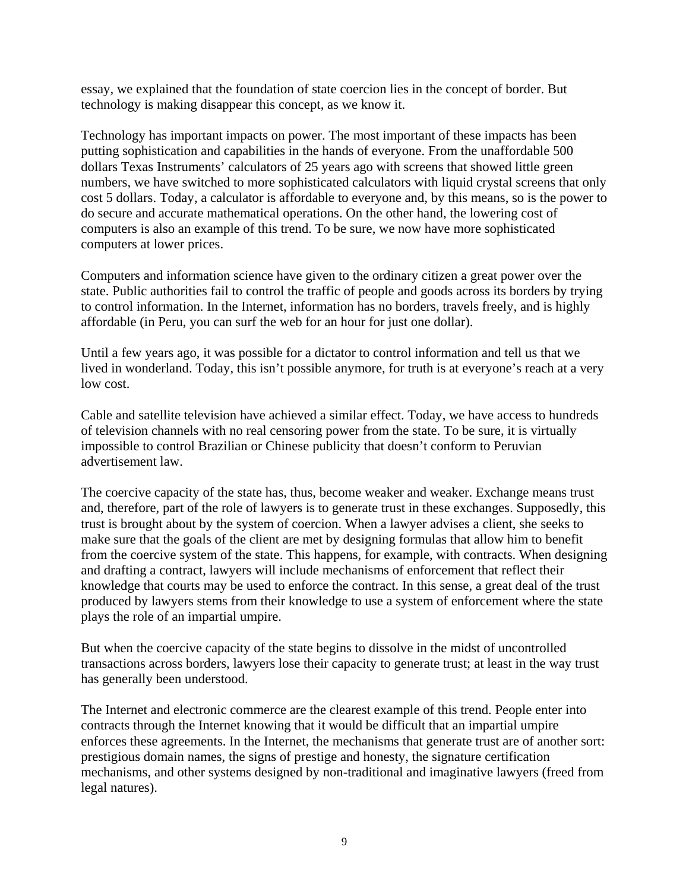essay, we explained that the foundation of state coercion lies in the concept of border. But technology is making disappear this concept, as we know it.

Technology has important impacts on power. The most important of these impacts has been putting sophistication and capabilities in the hands of everyone. From the unaffordable 500 dollars Texas Instruments' calculators of 25 years ago with screens that showed little green numbers, we have switched to more sophisticated calculators with liquid crystal screens that only cost 5 dollars. Today, a calculator is affordable to everyone and, by this means, so is the power to do secure and accurate mathematical operations. On the other hand, the lowering cost of computers is also an example of this trend. To be sure, we now have more sophisticated computers at lower prices.

Computers and information science have given to the ordinary citizen a great power over the state. Public authorities fail to control the traffic of people and goods across its borders by trying to control information. In the Internet, information has no borders, travels freely, and is highly affordable (in Peru, you can surf the web for an hour for just one dollar).

Until a few years ago, it was possible for a dictator to control information and tell us that we lived in wonderland. Today, this isn't possible anymore, for truth is at everyone's reach at a very low cost.

Cable and satellite television have achieved a similar effect. Today, we have access to hundreds of television channels with no real censoring power from the state. To be sure, it is virtually impossible to control Brazilian or Chinese publicity that doesn't conform to Peruvian advertisement law.

The coercive capacity of the state has, thus, become weaker and weaker. Exchange means trust and, therefore, part of the role of lawyers is to generate trust in these exchanges. Supposedly, this trust is brought about by the system of coercion. When a lawyer advises a client, she seeks to make sure that the goals of the client are met by designing formulas that allow him to benefit from the coercive system of the state. This happens, for example, with contracts. When designing and drafting a contract, lawyers will include mechanisms of enforcement that reflect their knowledge that courts may be used to enforce the contract. In this sense, a great deal of the trust produced by lawyers stems from their knowledge to use a system of enforcement where the state plays the role of an impartial umpire.

But when the coercive capacity of the state begins to dissolve in the midst of uncontrolled transactions across borders, lawyers lose their capacity to generate trust; at least in the way trust has generally been understood.

The Internet and electronic commerce are the clearest example of this trend. People enter into contracts through the Internet knowing that it would be difficult that an impartial umpire enforces these agreements. In the Internet, the mechanisms that generate trust are of another sort: prestigious domain names, the signs of prestige and honesty, the signature certification mechanisms, and other systems designed by non-traditional and imaginative lawyers (freed from legal natures).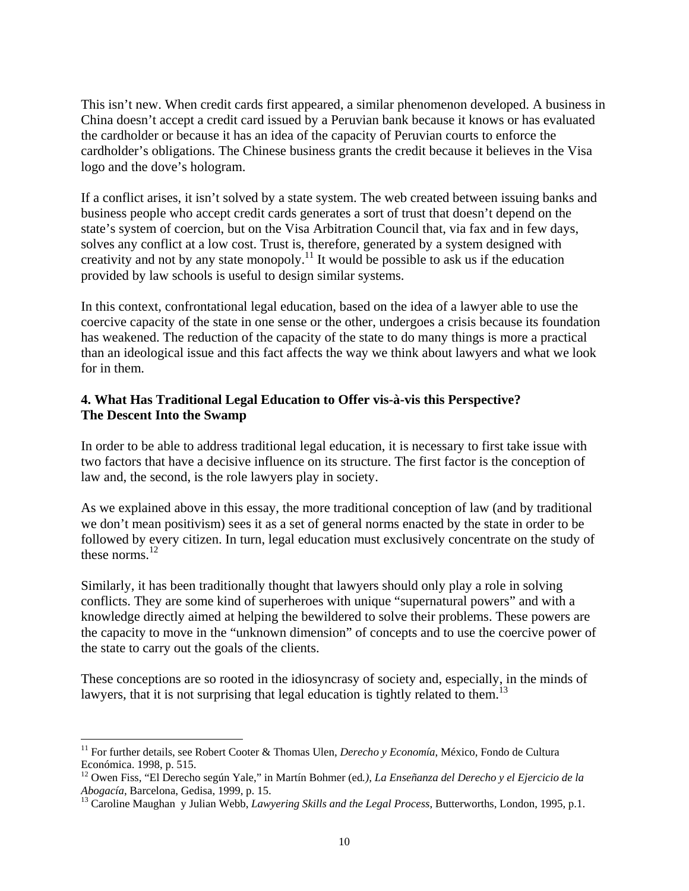This isn't new. When credit cards first appeared, a similar phenomenon developed. A business in China doesn't accept a credit card issued by a Peruvian bank because it knows or has evaluated the cardholder or because it has an idea of the capacity of Peruvian courts to enforce the cardholder's obligations. The Chinese business grants the credit because it believes in the Visa logo and the dove's hologram.

If a conflict arises, it isn't solved by a state system. The web created between issuing banks and business people who accept credit cards generates a sort of trust that doesn't depend on the state's system of coercion, but on the Visa Arbitration Council that, via fax and in few days, solves any conflict at a low cost. Trust is, therefore, generated by a system designed with creativity and not by any state monopoly.<sup>11</sup> It would be possible to ask us if the education provided by law schools is useful to design similar systems.

In this context, confrontational legal education, based on the idea of a lawyer able to use the coercive capacity of the state in one sense or the other, undergoes a crisis because its foundation has weakened. The reduction of the capacity of the state to do many things is more a practical than an ideological issue and this fact affects the way we think about lawyers and what we look for in them.

#### **4. What Has Traditional Legal Education to Offer vis-à-vis this Perspective? The Descent Into the Swamp**

In order to be able to address traditional legal education, it is necessary to first take issue with two factors that have a decisive influence on its structure. The first factor is the conception of law and, the second, is the role lawyers play in society.

As we explained above in this essay, the more traditional conception of law (and by traditional we don't mean positivism) sees it as a set of general norms enacted by the state in order to be followed by every citizen. In turn, legal education must exclusively concentrate on the study of these norms.<sup>12</sup>

Similarly, it has been traditionally thought that lawyers should only play a role in solving conflicts. They are some kind of superheroes with unique "supernatural powers" and with a knowledge directly aimed at helping the bewildered to solve their problems. These powers are the capacity to move in the "unknown dimension" of concepts and to use the coercive power of the state to carry out the goals of the clients.

These conceptions are so rooted in the idiosyncrasy of society and, especially, in the minds of lawyers, that it is not surprising that legal education is tightly related to them.<sup>13</sup>

 $\overline{a}$ 

<sup>&</sup>lt;sup>11</sup> For further details, see Robert Cooter & Thomas Ulen, *Derecho y Economía*, México, Fondo de Cultura Económica. 1998, p. 515.

<sup>12</sup> Owen Fiss, "El Derecho según Yale," in Martín Bohmer (ed*.), La Enseñanza del Derecho y el Ejercicio de la Abogacía*, Barcelona, Gedisa, 1999, p. 15.<br><sup>13</sup> Caroline Maughan y Julian Webb, *Lawyering Skills and the Legal Process*, Butterworths, London, 1995, p.1.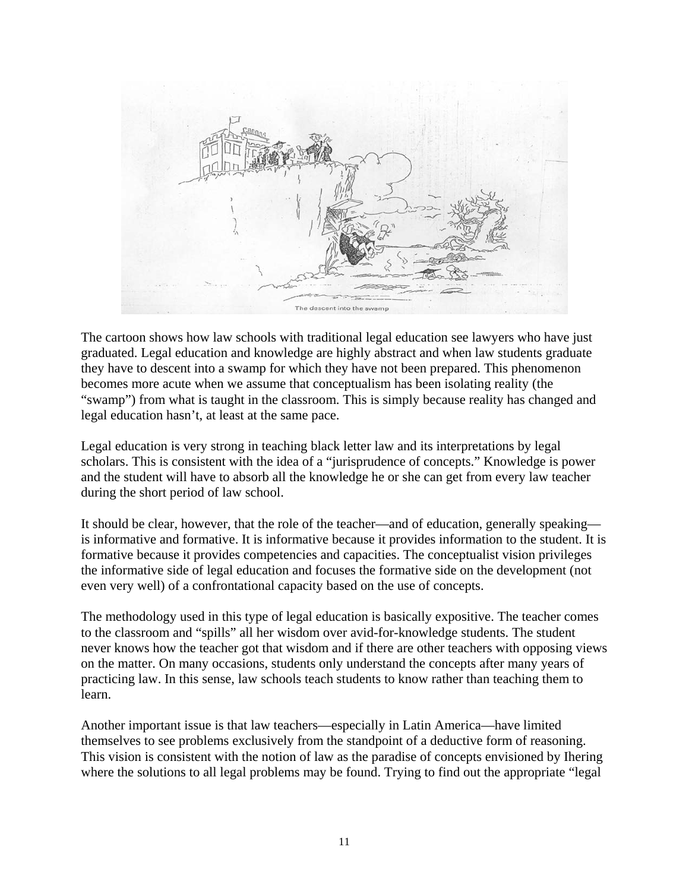

The cartoon shows how law schools with traditional legal education see lawyers who have just graduated. Legal education and knowledge are highly abstract and when law students graduate they have to descent into a swamp for which they have not been prepared. This phenomenon becomes more acute when we assume that conceptualism has been isolating reality (the "swamp") from what is taught in the classroom. This is simply because reality has changed and legal education hasn't, at least at the same pace.

Legal education is very strong in teaching black letter law and its interpretations by legal scholars. This is consistent with the idea of a "jurisprudence of concepts." Knowledge is power and the student will have to absorb all the knowledge he or she can get from every law teacher during the short period of law school.

It should be clear, however, that the role of the teacher—and of education, generally speaking is informative and formative. It is informative because it provides information to the student. It is formative because it provides competencies and capacities. The conceptualist vision privileges the informative side of legal education and focuses the formative side on the development (not even very well) of a confrontational capacity based on the use of concepts.

The methodology used in this type of legal education is basically expositive. The teacher comes to the classroom and "spills" all her wisdom over avid-for-knowledge students. The student never knows how the teacher got that wisdom and if there are other teachers with opposing views on the matter. On many occasions, students only understand the concepts after many years of practicing law. In this sense, law schools teach students to know rather than teaching them to learn.

Another important issue is that law teachers—especially in Latin America—have limited themselves to see problems exclusively from the standpoint of a deductive form of reasoning. This vision is consistent with the notion of law as the paradise of concepts envisioned by Ihering where the solutions to all legal problems may be found. Trying to find out the appropriate "legal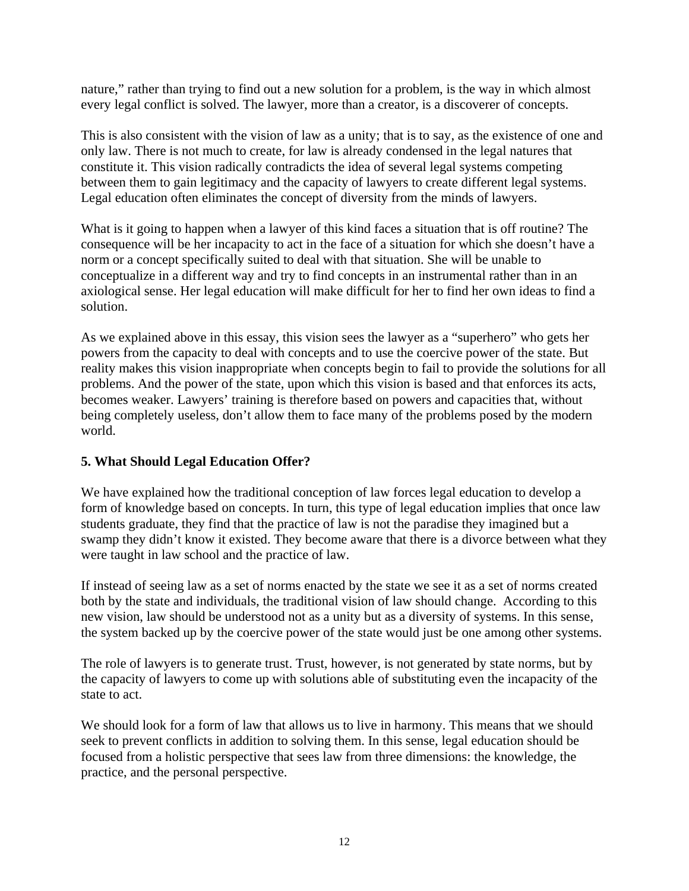nature," rather than trying to find out a new solution for a problem, is the way in which almost every legal conflict is solved. The lawyer, more than a creator, is a discoverer of concepts.

This is also consistent with the vision of law as a unity; that is to say, as the existence of one and only law. There is not much to create, for law is already condensed in the legal natures that constitute it. This vision radically contradicts the idea of several legal systems competing between them to gain legitimacy and the capacity of lawyers to create different legal systems. Legal education often eliminates the concept of diversity from the minds of lawyers.

What is it going to happen when a lawyer of this kind faces a situation that is off routine? The consequence will be her incapacity to act in the face of a situation for which she doesn't have a norm or a concept specifically suited to deal with that situation. She will be unable to conceptualize in a different way and try to find concepts in an instrumental rather than in an axiological sense. Her legal education will make difficult for her to find her own ideas to find a solution.

As we explained above in this essay, this vision sees the lawyer as a "superhero" who gets her powers from the capacity to deal with concepts and to use the coercive power of the state. But reality makes this vision inappropriate when concepts begin to fail to provide the solutions for all problems. And the power of the state, upon which this vision is based and that enforces its acts, becomes weaker. Lawyers' training is therefore based on powers and capacities that, without being completely useless, don't allow them to face many of the problems posed by the modern world.

#### **5. What Should Legal Education Offer?**

We have explained how the traditional conception of law forces legal education to develop a form of knowledge based on concepts. In turn, this type of legal education implies that once law students graduate, they find that the practice of law is not the paradise they imagined but a swamp they didn't know it existed. They become aware that there is a divorce between what they were taught in law school and the practice of law.

If instead of seeing law as a set of norms enacted by the state we see it as a set of norms created both by the state and individuals, the traditional vision of law should change. According to this new vision, law should be understood not as a unity but as a diversity of systems. In this sense, the system backed up by the coercive power of the state would just be one among other systems.

The role of lawyers is to generate trust. Trust, however, is not generated by state norms, but by the capacity of lawyers to come up with solutions able of substituting even the incapacity of the state to act.

We should look for a form of law that allows us to live in harmony. This means that we should seek to prevent conflicts in addition to solving them. In this sense, legal education should be focused from a holistic perspective that sees law from three dimensions: the knowledge, the practice, and the personal perspective.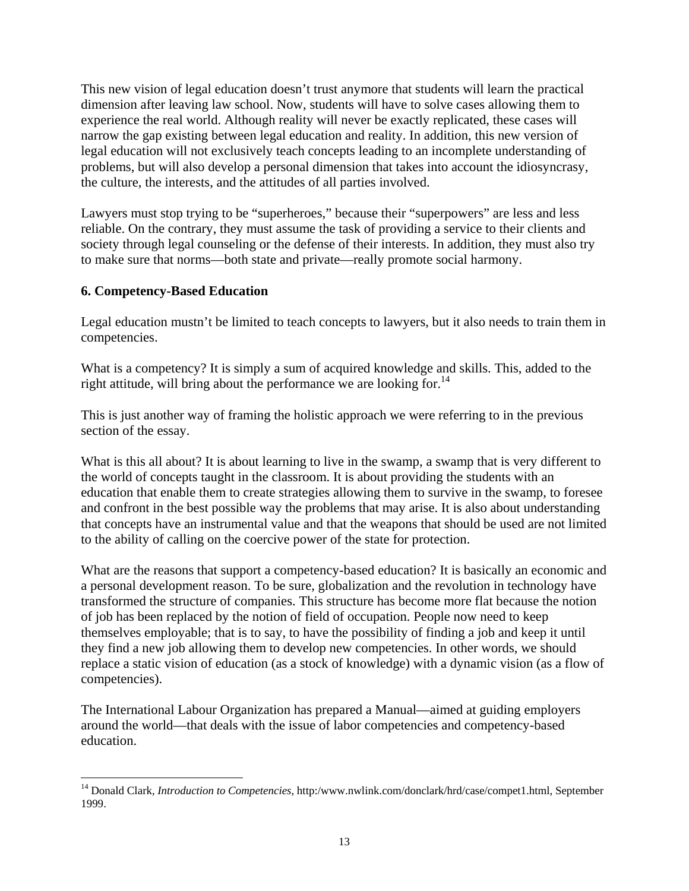This new vision of legal education doesn't trust anymore that students will learn the practical dimension after leaving law school. Now, students will have to solve cases allowing them to experience the real world. Although reality will never be exactly replicated, these cases will narrow the gap existing between legal education and reality. In addition, this new version of legal education will not exclusively teach concepts leading to an incomplete understanding of problems, but will also develop a personal dimension that takes into account the idiosyncrasy, the culture, the interests, and the attitudes of all parties involved.

Lawyers must stop trying to be "superheroes," because their "superpowers" are less and less reliable. On the contrary, they must assume the task of providing a service to their clients and society through legal counseling or the defense of their interests. In addition, they must also try to make sure that norms—both state and private—really promote social harmony.

#### **6. Competency-Based Education**

 $\overline{a}$ 

Legal education mustn't be limited to teach concepts to lawyers, but it also needs to train them in competencies.

What is a competency? It is simply a sum of acquired knowledge and skills. This, added to the right attitude, will bring about the performance we are looking for.<sup>14</sup>

This is just another way of framing the holistic approach we were referring to in the previous section of the essay.

What is this all about? It is about learning to live in the swamp, a swamp that is very different to the world of concepts taught in the classroom. It is about providing the students with an education that enable them to create strategies allowing them to survive in the swamp, to foresee and confront in the best possible way the problems that may arise. It is also about understanding that concepts have an instrumental value and that the weapons that should be used are not limited to the ability of calling on the coercive power of the state for protection.

What are the reasons that support a competency-based education? It is basically an economic and a personal development reason. To be sure, globalization and the revolution in technology have transformed the structure of companies. This structure has become more flat because the notion of job has been replaced by the notion of field of occupation. People now need to keep themselves employable; that is to say, to have the possibility of finding a job and keep it until they find a new job allowing them to develop new competencies. In other words, we should replace a static vision of education (as a stock of knowledge) with a dynamic vision (as a flow of competencies).

The International Labour Organization has prepared a Manual—aimed at guiding employers around the world—that deals with the issue of labor competencies and competency-based education.

<sup>14</sup> Donald Clark, *Introduction to Competencies*, http:/www.nwlink.com/donclark/hrd/case/compet1.html, September 1999.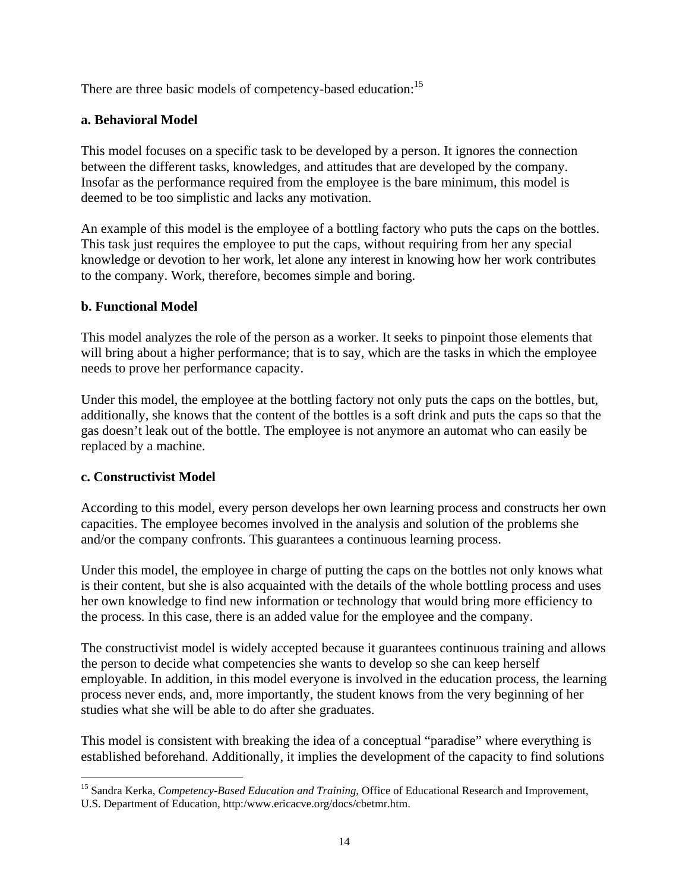There are three basic models of competency-based education:<sup>15</sup>

## **a. Behavioral Model**

This model focuses on a specific task to be developed by a person. It ignores the connection between the different tasks, knowledges, and attitudes that are developed by the company. Insofar as the performance required from the employee is the bare minimum, this model is deemed to be too simplistic and lacks any motivation.

An example of this model is the employee of a bottling factory who puts the caps on the bottles. This task just requires the employee to put the caps, without requiring from her any special knowledge or devotion to her work, let alone any interest in knowing how her work contributes to the company. Work, therefore, becomes simple and boring.

#### **b. Functional Model**

This model analyzes the role of the person as a worker. It seeks to pinpoint those elements that will bring about a higher performance; that is to say, which are the tasks in which the employee needs to prove her performance capacity.

Under this model, the employee at the bottling factory not only puts the caps on the bottles, but, additionally, she knows that the content of the bottles is a soft drink and puts the caps so that the gas doesn't leak out of the bottle. The employee is not anymore an automat who can easily be replaced by a machine.

# **c. Constructivist Model**

According to this model, every person develops her own learning process and constructs her own capacities. The employee becomes involved in the analysis and solution of the problems she and/or the company confronts. This guarantees a continuous learning process.

Under this model, the employee in charge of putting the caps on the bottles not only knows what is their content, but she is also acquainted with the details of the whole bottling process and uses her own knowledge to find new information or technology that would bring more efficiency to the process. In this case, there is an added value for the employee and the company.

The constructivist model is widely accepted because it guarantees continuous training and allows the person to decide what competencies she wants to develop so she can keep herself employable. In addition, in this model everyone is involved in the education process, the learning process never ends, and, more importantly, the student knows from the very beginning of her studies what she will be able to do after she graduates.

This model is consistent with breaking the idea of a conceptual "paradise" where everything is established beforehand. Additionally, it implies the development of the capacity to find solutions

 $\overline{a}$ 15 Sandra Kerka, *Competency-Based Education and Training*, Office of Educational Research and Improvement, U.S. Department of Education, http:/www.ericacve.org/docs/cbetmr.htm.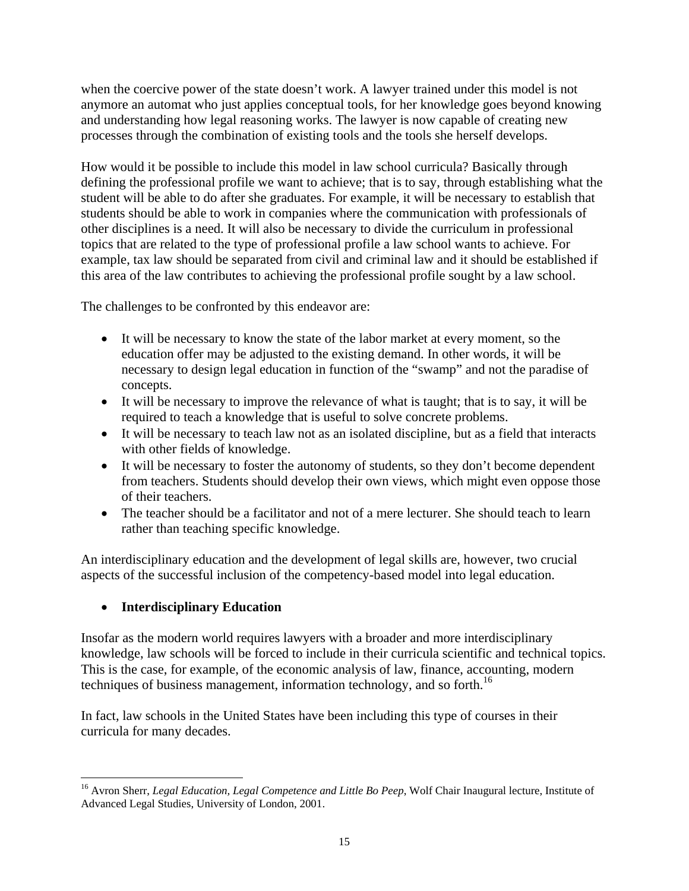when the coercive power of the state doesn't work. A lawyer trained under this model is not anymore an automat who just applies conceptual tools, for her knowledge goes beyond knowing and understanding how legal reasoning works. The lawyer is now capable of creating new processes through the combination of existing tools and the tools she herself develops.

How would it be possible to include this model in law school curricula? Basically through defining the professional profile we want to achieve; that is to say, through establishing what the student will be able to do after she graduates. For example, it will be necessary to establish that students should be able to work in companies where the communication with professionals of other disciplines is a need. It will also be necessary to divide the curriculum in professional topics that are related to the type of professional profile a law school wants to achieve. For example, tax law should be separated from civil and criminal law and it should be established if this area of the law contributes to achieving the professional profile sought by a law school.

The challenges to be confronted by this endeavor are:

- It will be necessary to know the state of the labor market at every moment, so the education offer may be adjusted to the existing demand. In other words, it will be necessary to design legal education in function of the "swamp" and not the paradise of concepts.
- It will be necessary to improve the relevance of what is taught; that is to say, it will be required to teach a knowledge that is useful to solve concrete problems.
- It will be necessary to teach law not as an isolated discipline, but as a field that interacts with other fields of knowledge.
- It will be necessary to foster the autonomy of students, so they don't become dependent from teachers. Students should develop their own views, which might even oppose those of their teachers.
- The teacher should be a facilitator and not of a mere lecturer. She should teach to learn rather than teaching specific knowledge.

An interdisciplinary education and the development of legal skills are, however, two crucial aspects of the successful inclusion of the competency-based model into legal education.

# • **Interdisciplinary Education**

Insofar as the modern world requires lawyers with a broader and more interdisciplinary knowledge, law schools will be forced to include in their curricula scientific and technical topics. This is the case, for example, of the economic analysis of law, finance, accounting, modern techniques of business management, information technology, and so forth.<sup>16</sup>

In fact, law schools in the United States have been including this type of courses in their curricula for many decades.

 $\overline{a}$ <sup>16</sup> Avron Sherr, *Legal Education, Legal Competence and Little Bo Peep*, Wolf Chair Inaugural lecture, Institute of Advanced Legal Studies, University of London, 2001.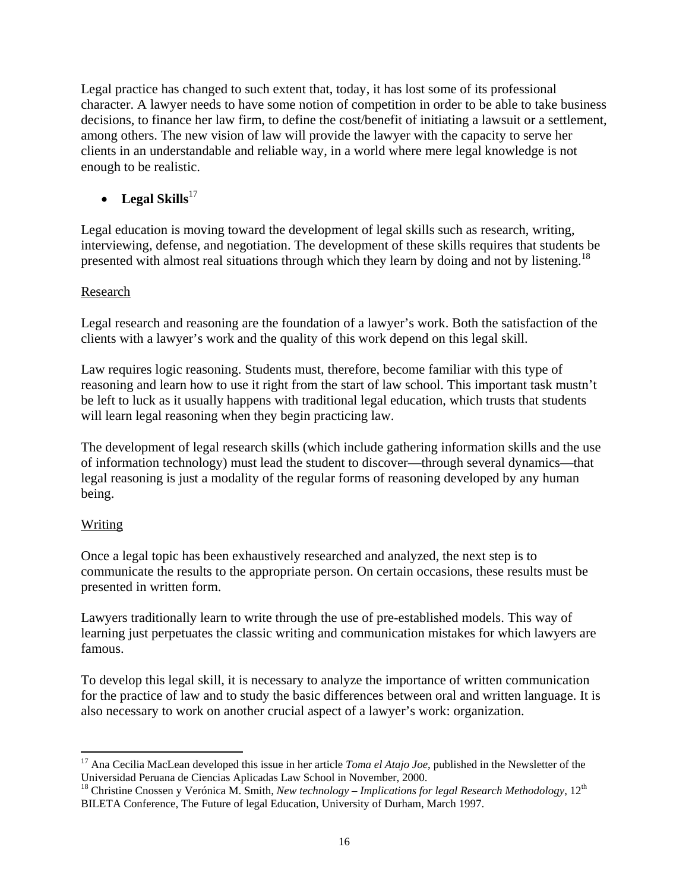Legal practice has changed to such extent that, today, it has lost some of its professional character. A lawyer needs to have some notion of competition in order to be able to take business decisions, to finance her law firm, to define the cost/benefit of initiating a lawsuit or a settlement, among others. The new vision of law will provide the lawyer with the capacity to serve her clients in an understandable and reliable way, in a world where mere legal knowledge is not enough to be realistic.

# • Legal  $\text{Skills}^{17}$

Legal education is moving toward the development of legal skills such as research, writing, interviewing, defense, and negotiation. The development of these skills requires that students be presented with almost real situations through which they learn by doing and not by listening.<sup>18</sup>

## Research

Legal research and reasoning are the foundation of a lawyer's work. Both the satisfaction of the clients with a lawyer's work and the quality of this work depend on this legal skill.

Law requires logic reasoning. Students must, therefore, become familiar with this type of reasoning and learn how to use it right from the start of law school. This important task mustn't be left to luck as it usually happens with traditional legal education, which trusts that students will learn legal reasoning when they begin practicing law.

The development of legal research skills (which include gathering information skills and the use of information technology) must lead the student to discover—through several dynamics—that legal reasoning is just a modality of the regular forms of reasoning developed by any human being.

# Writing

 $\overline{a}$ 

Once a legal topic has been exhaustively researched and analyzed, the next step is to communicate the results to the appropriate person. On certain occasions, these results must be presented in written form.

Lawyers traditionally learn to write through the use of pre-established models. This way of learning just perpetuates the classic writing and communication mistakes for which lawyers are famous.

To develop this legal skill, it is necessary to analyze the importance of written communication for the practice of law and to study the basic differences between oral and written language. It is also necessary to work on another crucial aspect of a lawyer's work: organization.

<sup>&</sup>lt;sup>17</sup> Ana Cecilia MacLean developed this issue in her article *Toma el Atajo Joe*, published in the Newsletter of the Universidad Peruana de Ciencias Aplicadas Law School in November, 2000.

<sup>&</sup>lt;sup>18</sup> Christine Cnossen y Verónica M. Smith, *New technology – Implications for legal Research Methodology*, 12<sup>th</sup> BILETA Conference, The Future of legal Education, University of Durham, March 1997.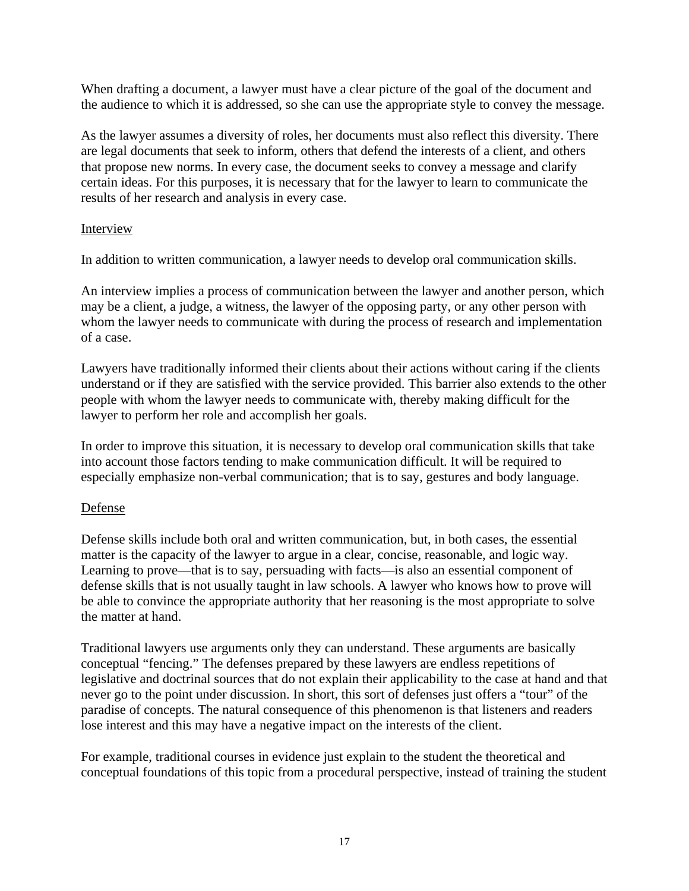When drafting a document, a lawyer must have a clear picture of the goal of the document and the audience to which it is addressed, so she can use the appropriate style to convey the message.

As the lawyer assumes a diversity of roles, her documents must also reflect this diversity. There are legal documents that seek to inform, others that defend the interests of a client, and others that propose new norms. In every case, the document seeks to convey a message and clarify certain ideas. For this purposes, it is necessary that for the lawyer to learn to communicate the results of her research and analysis in every case.

#### Interview

In addition to written communication, a lawyer needs to develop oral communication skills.

An interview implies a process of communication between the lawyer and another person, which may be a client, a judge, a witness, the lawyer of the opposing party, or any other person with whom the lawyer needs to communicate with during the process of research and implementation of a case.

Lawyers have traditionally informed their clients about their actions without caring if the clients understand or if they are satisfied with the service provided. This barrier also extends to the other people with whom the lawyer needs to communicate with, thereby making difficult for the lawyer to perform her role and accomplish her goals.

In order to improve this situation, it is necessary to develop oral communication skills that take into account those factors tending to make communication difficult. It will be required to especially emphasize non-verbal communication; that is to say, gestures and body language.

#### Defense

Defense skills include both oral and written communication, but, in both cases, the essential matter is the capacity of the lawyer to argue in a clear, concise, reasonable, and logic way. Learning to prove—that is to say, persuading with facts—is also an essential component of defense skills that is not usually taught in law schools. A lawyer who knows how to prove will be able to convince the appropriate authority that her reasoning is the most appropriate to solve the matter at hand.

Traditional lawyers use arguments only they can understand. These arguments are basically conceptual "fencing." The defenses prepared by these lawyers are endless repetitions of legislative and doctrinal sources that do not explain their applicability to the case at hand and that never go to the point under discussion. In short, this sort of defenses just offers a "tour" of the paradise of concepts. The natural consequence of this phenomenon is that listeners and readers lose interest and this may have a negative impact on the interests of the client.

For example, traditional courses in evidence just explain to the student the theoretical and conceptual foundations of this topic from a procedural perspective, instead of training the student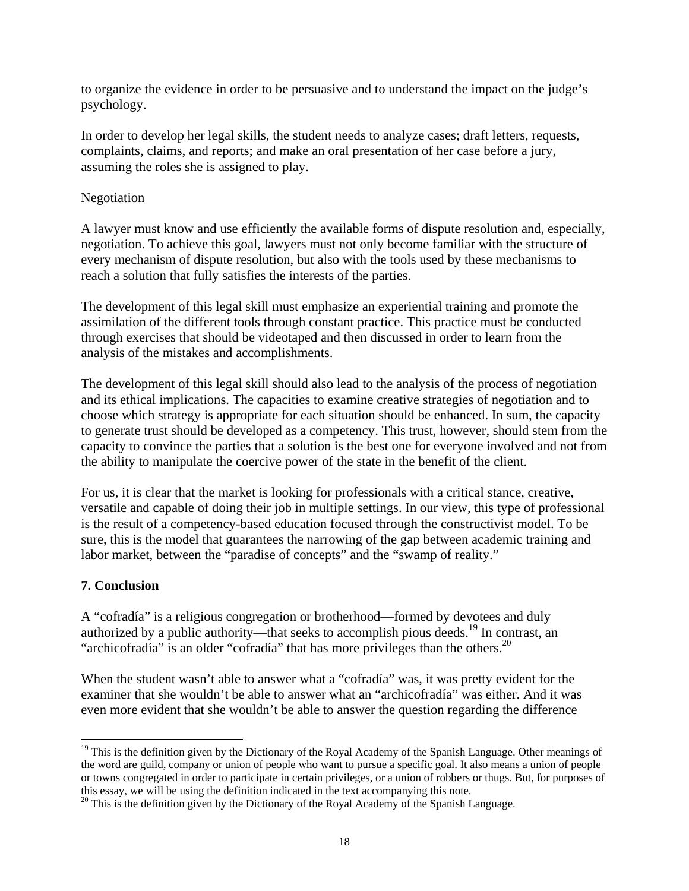to organize the evidence in order to be persuasive and to understand the impact on the judge's psychology.

In order to develop her legal skills, the student needs to analyze cases; draft letters, requests, complaints, claims, and reports; and make an oral presentation of her case before a jury, assuming the roles she is assigned to play.

#### **Negotiation**

A lawyer must know and use efficiently the available forms of dispute resolution and, especially, negotiation. To achieve this goal, lawyers must not only become familiar with the structure of every mechanism of dispute resolution, but also with the tools used by these mechanisms to reach a solution that fully satisfies the interests of the parties.

The development of this legal skill must emphasize an experiential training and promote the assimilation of the different tools through constant practice. This practice must be conducted through exercises that should be videotaped and then discussed in order to learn from the analysis of the mistakes and accomplishments.

The development of this legal skill should also lead to the analysis of the process of negotiation and its ethical implications. The capacities to examine creative strategies of negotiation and to choose which strategy is appropriate for each situation should be enhanced. In sum, the capacity to generate trust should be developed as a competency. This trust, however, should stem from the capacity to convince the parties that a solution is the best one for everyone involved and not from the ability to manipulate the coercive power of the state in the benefit of the client.

For us, it is clear that the market is looking for professionals with a critical stance, creative, versatile and capable of doing their job in multiple settings. In our view, this type of professional is the result of a competency-based education focused through the constructivist model. To be sure, this is the model that guarantees the narrowing of the gap between academic training and labor market, between the "paradise of concepts" and the "swamp of reality."

#### **7. Conclusion**

 $\overline{a}$ 

A "cofradía" is a religious congregation or brotherhood—formed by devotees and duly authorized by a public authority—that seeks to accomplish pious deeds.<sup>19</sup> In contrast, an "archicofradía" is an older "cofradía" that has more privileges than the others.<sup>20</sup>

When the student wasn't able to answer what a "cofradía" was, it was pretty evident for the examiner that she wouldn't be able to answer what an "archicofradía" was either. And it was even more evident that she wouldn't be able to answer the question regarding the difference

<sup>&</sup>lt;sup>19</sup> This is the definition given by the Dictionary of the Royal Academy of the Spanish Language. Other meanings of the word are guild, company or union of people who want to pursue a specific goal. It also means a union of people or towns congregated in order to participate in certain privileges, or a union of robbers or thugs. But, for purposes of this essay, we will be using the definition indicated in the text accompanying this note.<br><sup>20</sup> This is the definition given by the Dictionary of the Royal Academy of the Spanish Language.